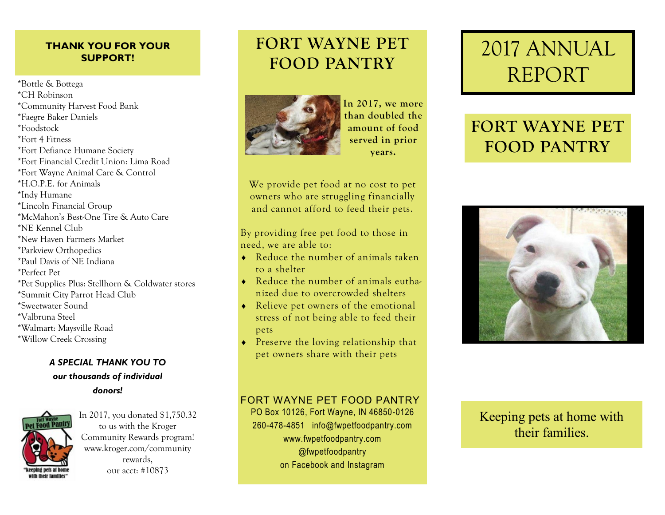#### **THANK YOU FOR YOUR SUPPORT!**

\*Bottle & Bottega \*CH Robinson \*Community Harvest Food Bank \*Faegre Baker Daniels \*Foodstock \*Fort 4 Fitness \*Fort Defiance Humane Society \*Fort Financial Credit Union: Lima Road \*Fort Wayne Animal Care & Control \*H.O.P.E. for Animals \*Indy Humane \*Lincoln Financial Group \*McMahon's Best-One Tire & Auto Care \*NE Kennel Club \*New Haven Farmers Market \*Parkview Orthopedics \*Paul Davis of NE Indiana \*Perfect Pet \*Pet Supplies Plus: Stellhorn & Coldwater stores \*Summit City Parrot Head Club \*Sweetwater Sound \*Valbruna Steel \*Walmart: Maysville Road \*Willow Creek Crossing

#### *A SPECIAL THANK YOU TO*

*our thousands of individual donors!*



In 2017, you donated \$1,750.32 to us with the Kroger Community Rewards program! www.kroger.com/community rewards, our acct: #10873

### **FORT WAYNE PET FOOD PANTRY**



**In 2017, we more than doubled the amount of food served in prior years.**

We provide pet food at no cost to pet owners who are struggling financially and cannot afford to feed their pets.

By providing free pet food to those in need, we are able to:

- Reduce the number of animals taken to a shelter
- Reduce the number of animals euthanized due to overcrowded shelters
- ◆ Relieve pet owners of the emotional stress of not being able to feed their pets
- Preserve the loving relationship that pet owners share with their pets

# 2017 ANNUAL REPORT

## **FORT WAYNE PET FOOD PANTRY**



### FORT WAYNE PET FOOD PANTRY

PO Box 10126, Fort Wayne, IN 46850-0126 260-478-4851 info@fwpetfoodpantry.com www.fwpetfoodpantry.com @fwpetfoodpantry on Facebook and Instagram

Keeping pets at home with their families.